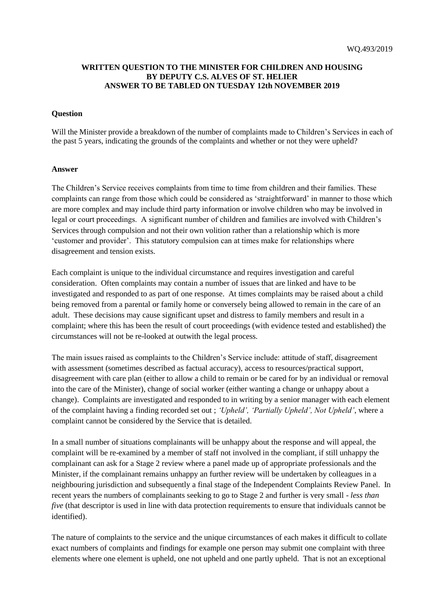## **WRITTEN QUESTION TO THE MINISTER FOR CHILDREN AND HOUSING BY DEPUTY C.S. ALVES OF ST. HELIER ANSWER TO BE TABLED ON TUESDAY 12th NOVEMBER 2019**

## **Question**

Will the Minister provide a breakdown of the number of complaints made to Children's Services in each of the past 5 years, indicating the grounds of the complaints and whether or not they were upheld?

## **Answer**

The Children's Service receives complaints from time to time from children and their families. These complaints can range from those which could be considered as 'straightforward' in manner to those which are more complex and may include third party information or involve children who may be involved in legal or court proceedings. A significant number of children and families are involved with Children's Services through compulsion and not their own volition rather than a relationship which is more 'customer and provider'. This statutory compulsion can at times make for relationships where disagreement and tension exists.

Each complaint is unique to the individual circumstance and requires investigation and careful consideration. Often complaints may contain a number of issues that are linked and have to be investigated and responded to as part of one response. At times complaints may be raised about a child being removed from a parental or family home or conversely being allowed to remain in the care of an adult. These decisions may cause significant upset and distress to family members and result in a complaint; where this has been the result of court proceedings (with evidence tested and established) the circumstances will not be re-looked at outwith the legal process.

The main issues raised as complaints to the Children's Service include: attitude of staff, disagreement with assessment (sometimes described as factual accuracy), access to resources/practical support, disagreement with care plan (either to allow a child to remain or be cared for by an individual or removal into the care of the Minister), change of social worker (either wanting a change or unhappy about a change). Complaints are investigated and responded to in writing by a senior manager with each element of the complaint having a finding recorded set out ; *'Upheld', 'Partially Upheld', Not Upheld'*, where a complaint cannot be considered by the Service that is detailed.

In a small number of situations complainants will be unhappy about the response and will appeal, the complaint will be re-examined by a member of staff not involved in the compliant, if still unhappy the complainant can ask for a Stage 2 review where a panel made up of appropriate professionals and the Minister, if the complainant remains unhappy an further review will be undertaken by colleagues in a neighbouring jurisdiction and subsequently a final stage of the Independent Complaints Review Panel. In recent years the numbers of complainants seeking to go to Stage 2 and further is very small - *less than five* (that descriptor is used in line with data protection requirements to ensure that individuals cannot be identified).

The nature of complaints to the service and the unique circumstances of each makes it difficult to collate exact numbers of complaints and findings for example one person may submit one complaint with three elements where one element is upheld, one not upheld and one partly upheld. That is not an exceptional